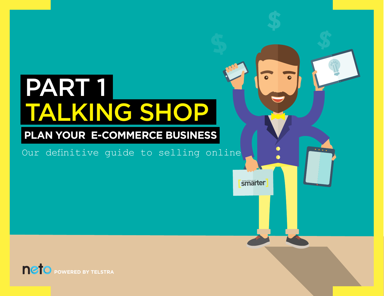# PART 1 TALKING SHOP

# **PLAN YOUR E-COMMERCE BUSINESS**

Our definitive guide to selling online

 $\overline{\phantom{a}}$  **smarter** 

 $\bullet \bullet \bullet$ 

**[P](http://www.neto.com.au)OWERED BY TELSTRA**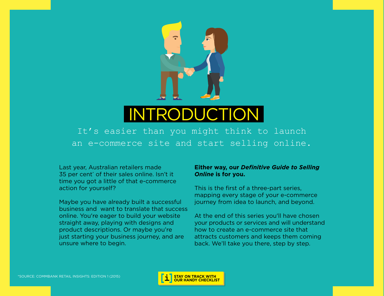

# INTRODUCTION

It's easier than you might think to launch an e-commerce site and start selling online.

Last year, [Australian retailers made](https://www.commbank.com.au/content/dam/commbank/business/pds/retail-insights-report-CIB0517.pdf)  35 per cent\*  [of their sales online.](https://www.commbank.com.au/content/dam/commbank/business/pds/retail-insights-report-CIB0517.pdf) Isn't it time you got a little of that e-commerce action for yourself?

Maybe you have already built a successful business and want to translate that success online. You're eager to build your website straight away, playing with designs and product descriptions. Or maybe you're just starting your business journey, and are unsure where to begin.

#### **Either way, our** *Definitive Guide to Selling Online* **is for you.**

This is the first of a three-part series, mapping every stage of your e-commerce journey from idea to launch, and beyond.

At the end of this series you'll have chosen your products or services and will understand how to create an e-commerce site that attracts customers and keeps them coming back. We'll take you there, step by step.

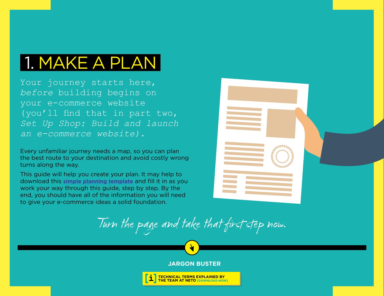# 1. MAKE A PLAN

Your journey starts here, *before* building begins on your e-commerce website (you'll find that in part two, *[Set Up Shop: Build and launch](https://www.smarterbusinessideas.com.au/setupshop)  [an e-commerce website\)](https://www.smarterbusinessideas.com.au/setupshop)*.

Every unfamiliar journey needs a map, so you can plan the best route to your destination and avoid costly wrong turns along the way.

This guide will help you create your plan. It may help to download this **[simple planning template](http://www.smarterbusinessideas.com.au/actionplan)** and fill it in as you work your way through this guide, step by step. By the end, you should have all of the information you will need to give your e-commerce ideas a solid foundation.



Turn the page and take that first step now.



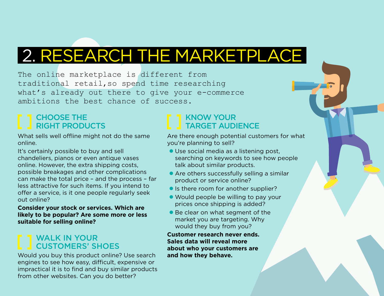# 2. RESEARCH THE MARKETPLACE

The online marketplace is different from traditional retail,so spend time researching what's already out there to give your e-commerce ambitions the best chance of success.

# CHOOSE THE RIGHT PRODUCTS

What sells well offline might not do the same online.

It's certainly possible to buy and sell chandeliers, pianos or even antique vases online. However, the extra shipping costs, possible breakages and other complications can make the total price – and the process – far less attractive for such items. If you intend to offer a service, is it one people regularly seek out online?

**Consider your stock or services. Which are likely to be popular? Are some more or less suitable for selling online?**

# WALK IN YOUR CUSTOMERS' SHOES

Would you buy this product online? Use search engines to see how easy, difficult, expensive or impractical it is to find and buy similar products from other websites. Can you do better?

# KNOW YOUR TARGET AUDIENCE

Are there enough potential customers for what you're planning to sell?

- l Use social media as a listening post, searching on keywords to see how people talk about similar products.
- $\bullet$  Are others successfully selling a similar product or service online?
- If Is there room for another supplier?
- Would people be willing to pay your prices once shipping is added?
- Be clear on what segment of the market you are targeting. Why would they buy from you?

**Customer research never ends. Sales data will reveal more about who your customers are and how they behave.**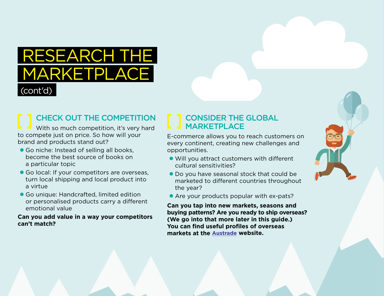# RESEARCH THE MARKETPLACE (cont'd)

# CHECK OUT THE COMPETITION

With so much competition, it's very hard to compete just on price. So how will your brand and products stand out?

- **Go niche: Instead of selling all books,** become the best source of books on a particular topic
- Go local: If your competitors are overseas, turn local shipping and local product into a virtue
- **Go unique: Handcrafted, limited edition** or personalised products carry a different emotional value

#### **Can you add value in a way your competitors can't match?**

### CONSIDER THE GLOBAL **MARKETPLACE**

E-commerce allows you to reach customers on every continent, creating new challenges and opportunities.

- **.** Will you attract customers with different cultural sensitivities?
- **Do you have seasonal stock that could be** marketed to different countries throughout the year?
- Are your products popular with ex-pats?

**Can you tap into new markets, seasons and buying patterns? Are you ready to ship overseas? (We go into that more later in this guide.) You can find useful profiles of overseas markets at the [Austrade w](http://www.austrade.gov.au/Australian/Export/Export-markets/Countries)ebsite.**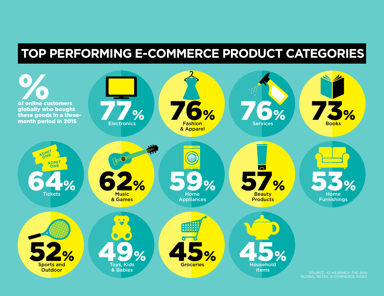# **TOP PERFORMING E-COMMERCE PRODUCT CATEGORIES**

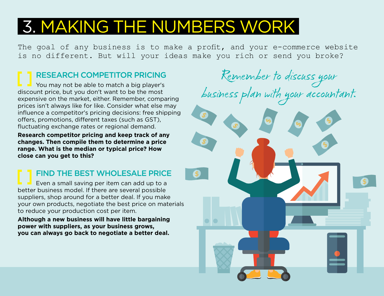# 3. MAKING THE NUMBERS WORK

The goal of any business is to make a profit, and your e-commerce website is no different. But will your ideas make you rich or send you broke?

# RESEARCH COMPETITOR PRICING

You may not be able to match a big player's discount price, but you don't want to be the most expensive on the market, either. Remember, comparing prices isn't always like for like. Consider what else may influence a competitor's pricing decisions: free shipping offers, promotions, different taxes (such as GST), fluctuating exchange rates or regional demand.

**Research competitor pricing and keep track of any changes. Then compile them to determine a price range. What is the median or typical price? How close can you get to this?** 

# FIND THE BEST WHOLESALE PRICE

Even a small saving per item can add up to a better business model. If there are several possible suppliers, shop around for a better deal. If you make your own products, negotiate the best price on materials to reduce your production cost per item.

**Although a new business will have little bargaining power with suppliers, as your business grows, you can always go back to negotiate a better deal.**

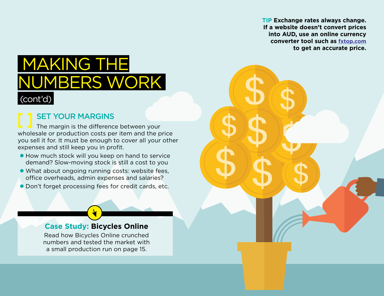**TIP Exchange rates always change. If a website doesn't convert prices into AUD, use an online currency converter tool such as [fxtop.com](http://fxtop.com/en/currency-converter-past.php) to get an accurate price.**

# MAKING THE MBERS WORK (cont'd)

# SET YOUR MARGINS

The margin is the difference between your wholesale or production costs per item and the price you sell it for. It must be enough to cover all your other expenses and still keep you in profit.

- **How much stock will you keep on hand to service** demand? Slow-moving stock is still a cost to you
- l What about ongoing running costs: website fees, office overheads, admin expenses and salaries?
- **Don't forget processing fees for credit cards, etc.**

### **[Case Study: Bicycles Online](#page-14-0)**

[Read how Bicycles Online crunched](#page-14-0)  [numbers and tested the market with](#page-14-0)  [a small production run on page 15.](#page-14-0)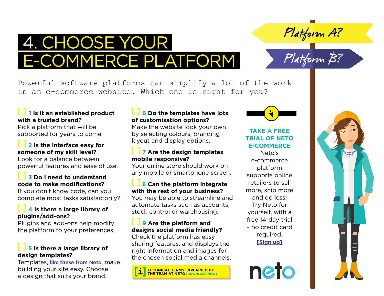

Platform A?

Platform B?

Powerful software platforms can simplify a lot of the work in an e-commerce website. Which one is right for you?

#### **1 Is it an established product with a trusted brand?**

Pick a platform that will be supported for years to come.

### **2 Is the interface easy for someone of my skill level?**

Look for a balance between powerful features and ease of use.

### **3 Do I need to understand code to make modifications?**

If you don't know code, can you complete most tasks satisfactorily?

#### **4 Is there a large library of plugins/add-ons?**

Plugins and add-ons help modify the platform to your preferences.

### **5 Is there a large library of design templates?**

Templates, **[like these from Neto](https://www.neto.com.au/website-templates?tel=y)**, make building your site easy. Choose a design that suits your brand.

#### **6 Do the templates have lots of customisation options?**

Make the website look your own by selecting colours, branding layout and display options.

#### **7 Are the design templates mobile responsive?**

Your online store should work on any mobile or smartphone screen.

### **8 Can the platform integrate with the rest of your business?**

You may be able to streamline and automate tasks such as accounts, stock control or warehousing.

#### **9 Are the platform and designs social media friendly?**

Check the platform has easy sharing features, and displays the right information and images for the chosen social media channels.





### **[TAKE A FREE](https://www.neto.com.au/free-trial)  [TRIAL OF NETO](https://www.neto.com.au/free-trial)  [E-COMMERCE](https://www.neto.com.au/free-trial)**

[Neto's](https://www.neto.com.au/free-trial)  [e-commerce](https://www.neto.com.au/free-trial)  [platform](https://www.neto.com.au/free-trial)  [supports online](https://www.neto.com.au/free-trial)  [retailers to sell](https://www.neto.com.au/free-trial)  [more, ship more](https://www.neto.com.au/free-trial)  [and do less!](https://www.neto.com.au/free-trial)  [Try Neto for](https://www.neto.com.au/free-trial)  [yourself, with a](https://www.neto.com.au/free-trial)  [free 14-day trial](https://www.neto.com.au/free-trial)  [– no credit card](https://www.neto.com.au/free-trial)  [required.](https://www.neto.com.au/free-trial)  **[\[Sign up\]](https://marketplace.telstra.com/apps/741#!editions)**



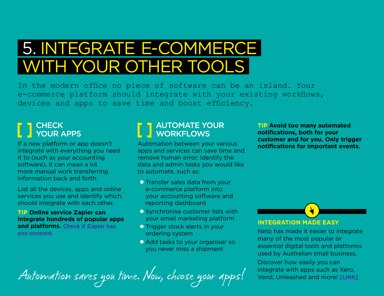# 5. INTEGRATE  E-COMMERCE WITH YOUR OTHER TOOLS

In the modern office no piece of software can be an island. Your e-commerce platform should integrate with your existing workflows, devices and apps to save time and boost efficiency.

# **CHECK** YOUR APPS

If a new platform or app doesn't integrate with everything you need it to (such as your accounting software), it can mean a lot more manual work transferring information back and forth.

List all the devices, apps and online services you use and identify which should integrate with each other.

**TIP Online service Zapier can integrate hundreds of popular apps and platforms. [Check if Zapier has](https://zapier.com/)  [you covered.](https://zapier.com/)** 

# AUTOMATE YOUR WORKFLOWS

Automation between your various apps and services can save time and remove human error. Identify the data and admin tasks you would like to automate, such as:

- **O** Transfer sales data from your e-commerce platform into your accounting software and reporting dashboard
- **O** Synchronise customer lists with your email marketing platform
- **O** Trigger stock alerts in your ordering system
- **O** Add tasks to your organiser so you never miss a shipment

**TIP Avoid too many automated notifications, both for your customer and for you. Only trigger notifications for important events.**

**INTEGRATION MADE EASY**

Neto has made it easier to integrate many of the most popular or essential digital tools and platforms used by Australian small business.

[Discover how easily you can](https://www.neto.com.au/article/3rd-party-integrations-xero-vend-unleashed-etc ) 

Automation saves you time. Now, choose your apps! integrate with apps such as Xero,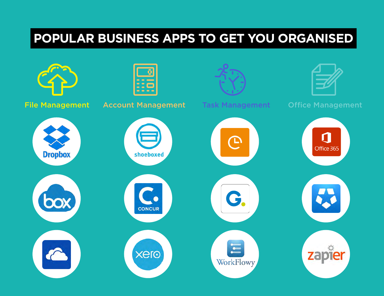# **[POPULAR BUSINESS APPS TO GET YOU ORGANISED](https://marketplace.telstra.com/apps/23?restoreSearch=true#!overview )**

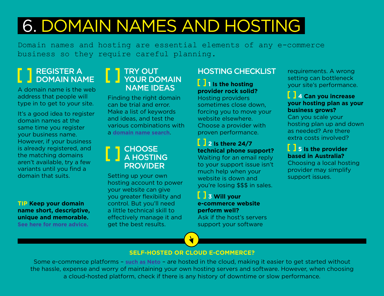# 6. DOMAIN NAMES AND HOSTING

Domain names and hosting are essential elements of any e-commerce business so they require careful planning.

### REGISTER A DOMAIN NAME

A domain name is the web address that people will type in to get to your site.

It's a good idea to register domain names at the same time you register your business name. However, if your business is already registered, and the matching domains aren't available, try a few variants until you find a domain that suits.

**TIP Keep your domain name short, descriptive, unique and memorable. [See here for more advice.](https://www.neto.com.au/n/tips-for-picking-a-great-domain-name-for-your-webs/7001?tel=y)**

### TRY OUT YOUR DOMAIN NAME IDEAS

Finding the right domain can be trial and error. Make a list of keywords and ideas, and test the various combinations with a **[domain name search](https://marketplace.telstra.com/apps/432?restoreSearch=true#!domains)**.

### CHOOSE A HOSTING PROVIDER

Setting up your own hosting account to power your website can give you greater flexibility and control. But you'll need a little technical skill to effectively manage it and get the best results.

# HOSTING CHECKLIST

**1 1** Is the hosting **provider rock solid?**

Hosting providers sometimes close down, forcing you to move your website elsewhere. Choose a provider with proven performance.

# **2 Is there 24/7 technical phone support?**

Waiting for an email reply to your support issue isn't much help when your website is down and you're losing \$\$\$ in sales.

**3 Will your e-commerce website perform well?** Ask if the host's servers

support your software

requirements. A wrong setting can bottleneck your site's performance.

#### **4 Can you increase your hosting plan as your business grows?**

Can you scale your hosting plan up and down as needed? Are there extra costs involved?

### **5** Is the provider **based in Australia?**

Choosing a local hosting provider may simplify support issues.

#### **SELF-HOSTED OR CLOUD E-COMMERCE?**

Some e-commerce platforms – **[such as Neto](https://www.neto.com.au/hosting-security?tel=y)** – are hosted in the cloud, making it easier to get started without the hassle, expense and worry of maintaining your own hosting servers and software. However, when choosing a cloud-hosted platform, check if there is any history of downtime or slow performance.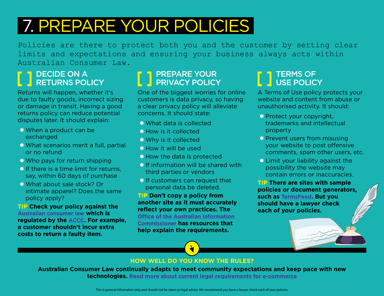# 7. PREPARE YOUR POLICIES

Policies are there to protect both you and the customer by setting clear limits and expectations and ensuring your business always acts within Australian Consumer Law.

# DECIDE ON A RETURNS POLICY

Returns will happen, whether it's due to faulty goods, incorrect sizing or damage in transit. Having a good returns policy can reduce potential disputes later. It should explain:

- $\bullet$  When a product can be exchanged
- $\bullet$  What scenarios merit a full, partial or no refund
- $\bullet$  Who pays for return shipping
- $\bullet$  If there is a time limit for returns. say, within 60 days of purchase
- **O** What about sale stock? Or intimate apparel? Does the same policy apply?

**TIP Check your policy against the [Australian consumer law](https://www.accc.gov.au/consumers/consumer-rights-guarantees/consumer-guarantees) which is regulated by the [ACCC](https://www.accc.gov.au/). For example, a customer shouldn't incur extra costs to return a faulty item.**

# PREPARE YOUR **PRIVACY POLICY**

One of the biggest worries for online customers is data privacy, so having a clear privacy policy will alleviate concerns. It should state:

- **O** What data is collected
- **How is it collected**
- $\bullet$  Why is it collected
- **C** How it will be used
- $\bullet$  How the data is protected
- $\bullet$  If information will be shared with third parties or vendors
- $\bullet$  If customers can request that personal data be deleted.

**TIP Don't copy a policy from another site as it must accurately reflect your own practices. The [Office of the Australian Information](https://www.oaic.gov.au/agencies-and-organisations/business-resources/)  [Commissioner](https://www.oaic.gov.au/agencies-and-organisations/business-resources/) has resources that help explain the requirements.** 

# TERMS OF USE POLICY

A Terms of Use policy protects your website and content from abuse or unauthorised activity. It should:

- **Protect your copyright,** trademarks and intellectual property
- **O** Prevent users from misusing your website to post offensive comments, spam other users, etc.
- **O Limit your liability against the** possibility the website may contain errors or inaccuracies.

**TIP There are sites with sample policies or document generators, such as [TermsFeed.](https://termsfeed.com/) But you should have a lawyer check each of your policies.** 

#### **HOW WELL DO YOU KNOW THE RULES?**

**Australian Consumer Law continually adapts to meet community expectations and keep pace with new technologies. [Read more about current legal requirements for e-commerc](https://www.communications.gov.au/what-we-do/internet/digital-business/blog/e-commerce-and-law)e**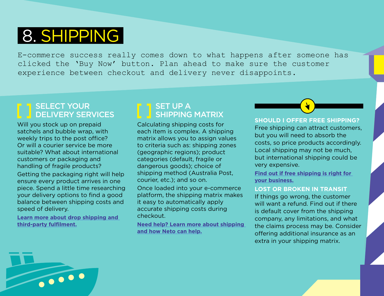# 8. SHIPPING

E-commerce success really comes down to what happens after someone has clicked the 'Buy Now' button. Plan ahead to make sure the customer experience between checkout and delivery never disappoints.

# SELECT YOUR DELIVERY SERVICES

Will you stock up on prepaid satchels and bubble wrap, with weekly trips to the post office? Or will a courier service be more suitable? What about international customers or packaging and handling of fragile products?

Getting the packaging right will help ensure every product arrives in one piece. Spend a little time researching your delivery options to find a good balance between shipping costs and speed of delivery.

**[Learn more about drop shipping and](https://www.neto.com.au/a/drop-shipping-3rd-party-logistics/258?tel=y)  [third-party fulfilment.](https://www.neto.com.au/a/drop-shipping-3rd-party-logistics/258?tel=y)**

### SET UP A SHIPPING MATRIX

Calculating shipping costs for each item is complex. A shipping matrix allows you to assign values to criteria such as: shipping zones (geographic regions); product categories (default, fragile or dangerous goods); choice of shipping method (Australia Post, courier, etc.); and so on.

Once loaded into your e-commerce platform, the shipping matrix makes it easy to automatically apply accurate shipping costs during checkout.

**[Need help? Learn more about shipping](https://www.neto.com.au/how-do-i-setup-my-shipping-matrix-rates?tel=y)  [and how Neto can help.](https://www.neto.com.au/how-do-i-setup-my-shipping-matrix-rates?tel=y)**

#### **SHOULD I OFFER FREE SHIPPING?**

Free shipping can attract customers, but you will need to absorb the costs, so price products accordingly. Local shipping may not be much, but international shipping could be very expensive.

**[Find out if free shipping is right for](https://www.neto.com.au/n/is-free-shipping-right-for-your-business/860?tel=y)  [your business.](https://www.neto.com.au/n/is-free-shipping-right-for-your-business/860?tel=y)**

#### **LOST OR BROKEN IN TRANSIT**

If things go wrong, the customer will want a refund. Find out if there is default cover from the shipping company, any limitations, and what the claims process may be. Consider offering additional insurance as an extra in your shipping matrix.

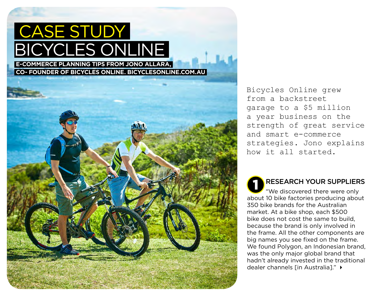<span id="page-14-0"></span>

Bicycles Online grew from a backstreet garage to a \$5 million a year business on the strength of great service and smart e-commerce strategies. Jono explains how it all started.

RESEARCH YOUR SUPPLIERS "We discovered there were only about 10 bike factories producing about 350 bike brands for the Australian market. At a bike shop, each \$500 bike does not cost the same to build, because the brand is only involved in the frame. All the other components are big names you see fixed on the frame. We found Polygon, an Indonesian brand, was the only major global brand that hadn't already invested in the traditional dealer channels [in Australia]." ▶ 1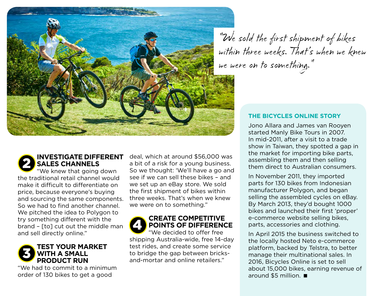

" We sold the first shipment of bikes within three weeks. That's when we knew we were on to something."

#### **THE BICYCLES ONLINE STORY**

Jono Allara and James van Rooyen started Manly Bike Tours in 2007. In mid-2011, after a visit to a trade show in Taiwan, they spotted a gap in the market for importing bike parts, assembling them and then selling them direct to Australian consumers.

In November 2011, they imported parts for 130 bikes from Indonesian manufacturer Polygon, and began selling the assembled cycles on eBay. By March 2013, they'd bought 1000 bikes and launched their first 'proper' e-commerce website selling bikes, parts, accessories and clothing.

In April 2015 the business switched to the locally hosted [Neto e-commerce](https://www.neto.com.au/)  [platform,](https://www.neto.com.au/) backed by Telstra, to better manage their multinational sales. In 2016, Bicycles Online is set to sell about 15,000 bikes, earning revenue of around \$5 million.

#### **INVESTIGATE DIFFERENT SALES CHANNELS** 2

"We knew that going down the traditional retail channel would make it difficult to differentiate on price, because everyone's buying and sourcing the same components. So we had to find another channel. We pitched the idea to Polygon to try something different with the brand – [to] cut out the middle man and sell directly online."

#### **TEST YOUR MARKET WITH A SMALL PRODUCT RUN** 3

"We had to commit to a minimum order of 130 bikes to get a good

deal, which at around \$56,000 was a bit of a risk for a young business. So we thought: 'We'll have a go and see if we can sell these bikes – and we set up an eBay store. We sold the first shipment of bikes within three weeks. That's when we knew we were on to something."

#### **CREATE COMPETITIVE POINTS OF DIFFERENCE** 4

"We decided to offer free shipping Australia-wide, free 14-day test rides, and create some service to bridge the gap between bricksand-mortar and online retailers."